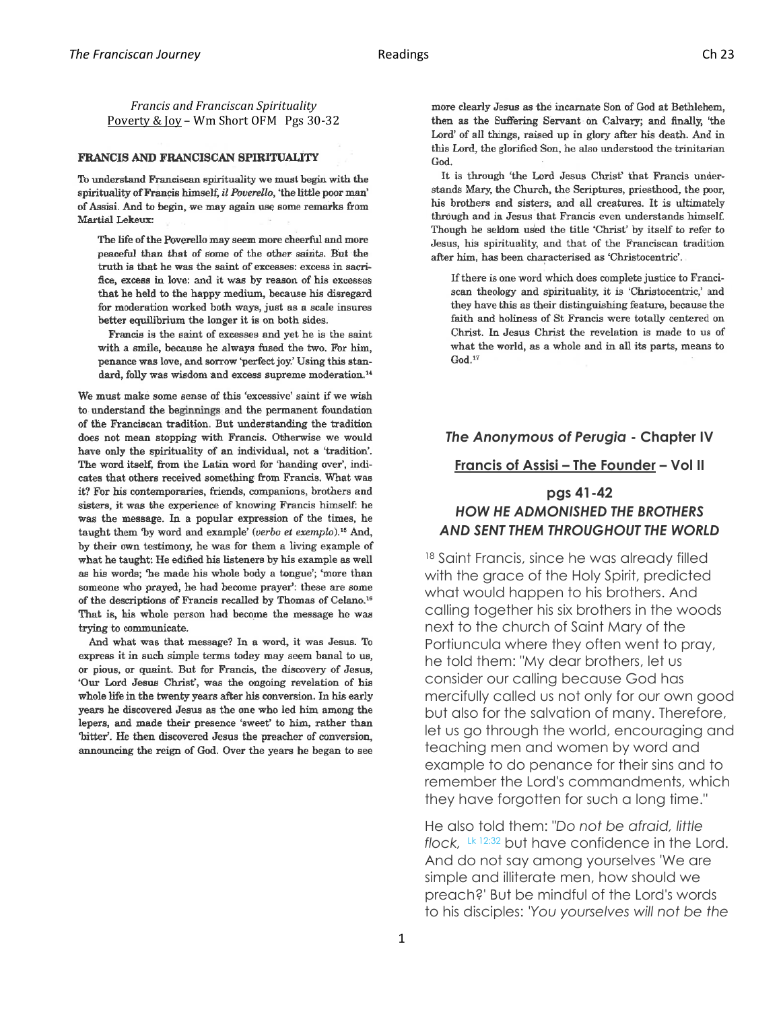*Francis and Franciscan Spirituality* Poverty & Joy – Wm Short OFM Pgs 30-32

#### FRANCIS AND FRANCISCAN SPIRITUALITY

To understand Franciscan spirituality we must begin with the spirituality of Francis himself, il Poverello, 'the little poor man' of Assisi. And to begin, we may again use some remarks from Martial Lekeux:

The life of the Poverello may seem more cheerful and more peaceful than that of some of the other saints. But the truth is that he was the saint of excesses: excess in sacrifice, excess in love: and it was by reason of his excesses that he held to the happy medium, because his disregard for moderation worked both ways, just as a scale insures better equilibrium the longer it is on both sides.

Francis is the saint of excesses and yet he is the saint with a smile, because he always fused the two. For him, penance was love, and sorrow 'perfect joy.' Using this standard, folly was wisdom and excess supreme moderation.<sup>14</sup>

We must make some sense of this 'excessive' saint if we wish to understand the beginnings and the permanent foundation of the Franciscan tradition. But understanding the tradition does not mean stopping with Francis. Otherwise we would have only the spirituality of an individual, not a 'tradition'. The word itself, from the Latin word for 'handing over', indicates that others received something from Francis. What was it? For his contemporaries, friends, companions, brothers and sisters, it was the experience of knowing Francis himself: he was the message. In a popular expression of the times, he taught them 'by word and example' (verbo et exemplo).<sup>15</sup> And, by their own testimony, he was for them a living example of what he taught: He edified his listeners by his example as well as his words; he made his whole body a tongue'; 'more than someone who prayed, he had become prayer': these are some of the descriptions of Francis recalled by Thomas of Celano.<sup>16</sup> That is, his whole person had become the message he was trying to communicate.

And what was that message? In a word, it was Jesus. To express it in such simple terms today may seem banal to us, or pious, or quaint. But for Francis, the discovery of Jesus, 'Our Lord Jesus Christ', was the ongoing revelation of his whole life in the twenty years after his conversion. In his early years he discovered Jesus as the one who led him among the lepers, and made their presence 'sweet' to him, rather than bitter'. He then discovered Jesus the preacher of conversion, announcing the reign of God. Over the years he began to see more clearly Jesus as the incarnate Son of God at Bethlehem, then as the Suffering Servant on Calvary; and finally, 'the Lord' of all things, raised up in glory after his death. And in this Lord, the glorified Son, he also understood the trinitarian God.

It is through 'the Lord Jesus Christ' that Francis understands Mary, the Church, the Scriptures, priesthood, the poor, his brothers and sisters, and all creatures. It is ultimately through and in Jesus that Francis even understands himself. Though he seldom used the title 'Christ' by itself to refer to Jesus, his spirituality, and that of the Franciscan tradition after him, has been characterised as 'Christocentric'.

If there is one word which does complete justice to Franciscan theology and spirituality, it is 'Christocentric,' and they have this as their distinguishing feature, because the faith and holiness of St Francis were totally centered on Christ. In Jesus Christ the revelation is made to us of what the world, as a whole and in all its parts, means to  $God.<sup>17</sup>$ 

### *The Anonymous of Perugia* **- Chapter IV**

### **Francis of Assisi – The Founder – Vol II**

# **pgs 41-42** *HOW HE ADMONISHED THE BROTHERS AND SENT THEM THROUGHOUT THE WORLD*

<sup>18</sup> Saint Francis, since he was already filled with the grace of the Holy Spirit, predicted what would happen to his brothers. And calling together his six brothers in the woods next to the church of Saint Mary of the Portiuncula where they often went to pray, he told them: "My dear brothers, let us consider our calling because God has mercifully called us not only for our own good but also for the salvation of many. Therefore, let us go through the world, encouraging and teaching men and women by word and example to do penance for their sins and to remember the Lord's commandments, which they have forgotten for such a long time."

He also told them: *"Do not be afraid, little flock,* Lk 12:32 but have confidence in the Lord. And do not say among yourselves 'We are simple and illiterate men, how should we preach?' But be mindful of the Lord's words to his disciples: *'You yourselves will not be the*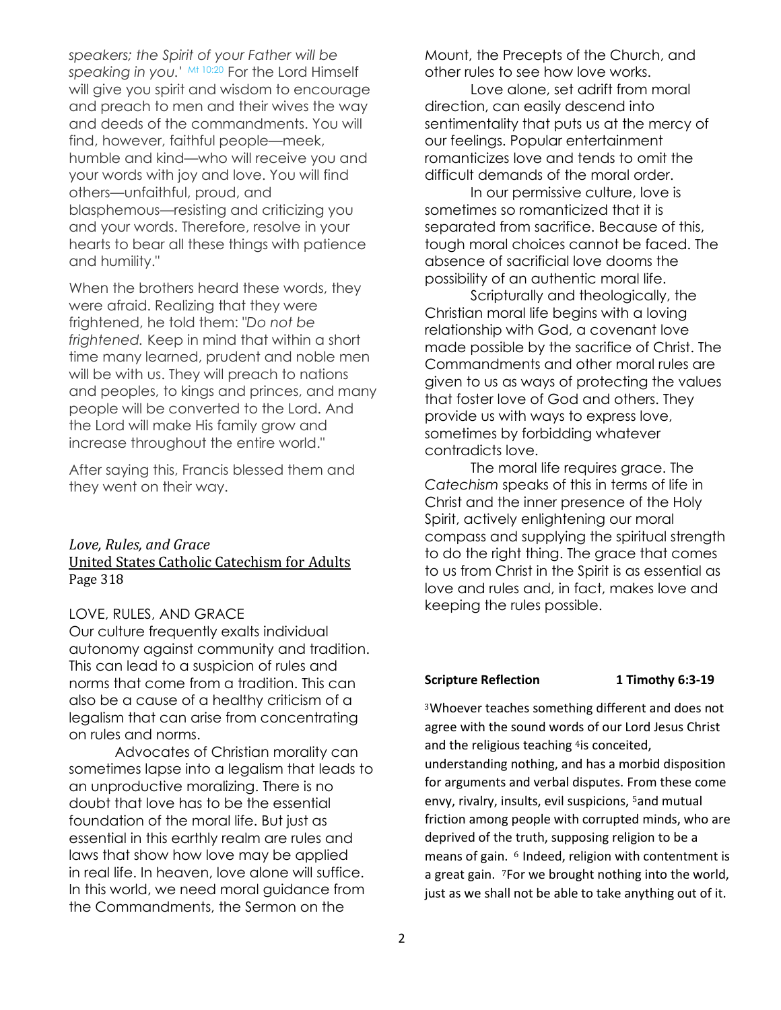*speakers; the Spirit of your Father will be*  speaking in you.' Mt 10:20 For the Lord Himself will give you spirit and wisdom to encourage and preach to men and their wives the way and deeds of the commandments. You will find, however, faithful people—meek, humble and kind—who will receive you and your words with joy and love. You will find others—unfaithful, proud, and blasphemous—resisting and criticizing you and your words. Therefore, resolve in your hearts to bear all these things with patience and humility."

When the brothers heard these words, they were afraid. Realizing that they were frightened, he told them: "*Do not be frightened.* Keep in mind that within a short time many learned, prudent and noble men will be with us. They will preach to nations and peoples, to kings and princes, and many people will be converted to the Lord. And the Lord will make His family grow and increase throughout the entire world."

After saying this, Francis blessed them and they went on their way.

## *Love, Rules, and Grace* United States Catholic Catechism for Adults Page 318

## LOVE, RULES, AND GRACE

Our culture frequently exalts individual autonomy against community and tradition. This can lead to a suspicion of rules and norms that come from a tradition. This can also be a cause of a healthy criticism of a legalism that can arise from concentrating on rules and norms.

Advocates of Christian morality can sometimes lapse into a legalism that leads to an unproductive moralizing. There is no doubt that love has to be the essential foundation of the moral life. But just as essential in this earthly realm are rules and laws that show how love may be applied in real life. In heaven, love alone will suffice. In this world, we need moral guidance from the Commandments, the Sermon on the

Mount, the Precepts of the Church, and other rules to see how love works.

Love alone, set adrift from moral direction, can easily descend into sentimentality that puts us at the mercy of our feelings. Popular entertainment romanticizes love and tends to omit the difficult demands of the moral order.

In our permissive culture, love is sometimes so romanticized that it is separated from sacrifice. Because of this, tough moral choices cannot be faced. The absence of sacrificial love dooms the possibility of an authentic moral life.

Scripturally and theologically, the Christian moral life begins with a loving relationship with God, a covenant love made possible by the sacrifice of Christ. The Commandments and other moral rules are given to us as ways of protecting the values that foster love of God and others. They provide us with ways to express love, sometimes by forbidding whatever contradicts love.

The moral life requires grace. The *Catechism* speaks of this in terms of life in Christ and the inner presence of the Holy Spirit, actively enlightening our moral compass and supplying the spiritual strength to do the right thing. The grace that comes to us from Christ in the Spirit is as essential as love and rules and, in fact, makes love and keeping the rules possible.

### **Scripture Reflection** 1 Timothy 6:3-19

<sup>3</sup>Whoever teaches something different and does not agree with the sound words of our Lord Jesus Christ and the religious teaching <sup>4</sup>is conceited, understanding nothing, and has a morbid disposition for arguments and verbal disputes. From these come envy, rivalry, insults, evil suspicions, <sup>5</sup>and mutual friction among people with corrupted minds, who are deprived of the truth, supposing religion to be a means of gain. <sup>6</sup> Indeed, religion with contentment is a great gain. <sup>7</sup>For we brought nothing into the world, just as we shall not be able to take anything out of it.